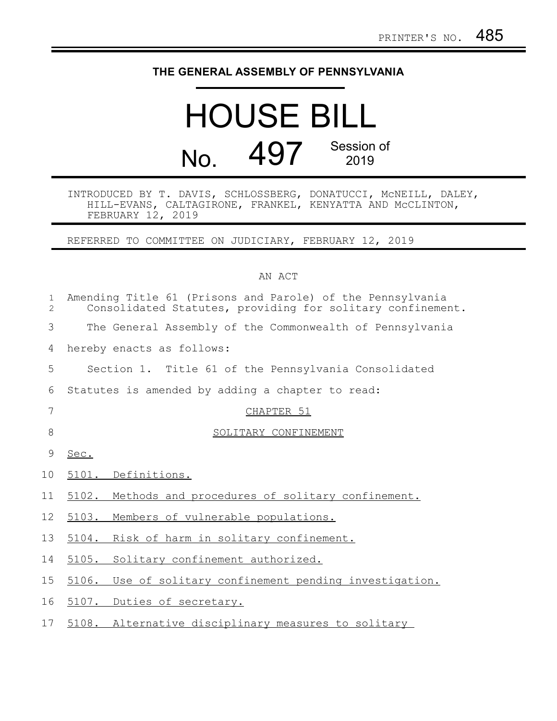## **THE GENERAL ASSEMBLY OF PENNSYLVANIA**

## HOUSE BILL No. 497 Session of 2019

INTRODUCED BY T. DAVIS, SCHLOSSBERG, DONATUCCI, McNEILL, DALEY, HILL-EVANS, CALTAGIRONE, FRANKEL, KENYATTA AND McCLINTON, FEBRUARY 12, 2019

REFERRED TO COMMITTEE ON JUDICIARY, FEBRUARY 12, 2019

## AN ACT

| $\mathbf 1$<br>$\overline{c}$ | Amending Title 61 (Prisons and Parole) of the Pennsylvania<br>Consolidated Statutes, providing for solitary confinement. |
|-------------------------------|--------------------------------------------------------------------------------------------------------------------------|
| 3                             | The General Assembly of the Commonwealth of Pennsylvania                                                                 |
| 4                             | hereby enacts as follows:                                                                                                |
| 5                             | Section 1. Title 61 of the Pennsylvania Consolidated                                                                     |
| 6                             | Statutes is amended by adding a chapter to read:                                                                         |
| 7                             | CHAPTER 51                                                                                                               |
| 8                             | SOLITARY CONFINEMENT                                                                                                     |
| 9                             | Sec.                                                                                                                     |
| 10 <sub>o</sub>               | 5101. Definitions.                                                                                                       |
| 11                            | 5102. Methods and procedures of solitary confinement.                                                                    |
| 12                            | 5103. Members of vulnerable populations.                                                                                 |
| 13                            | 5104. Risk of harm in solitary confinement.                                                                              |
| 14                            | 5105. Solitary confinement authorized.                                                                                   |
| 15                            | 5106. Use of solitary confinement pending investigation.                                                                 |
| 16                            | 5107. Duties of secretary.                                                                                               |
| 17                            | 5108. Alternative disciplinary measures to solitary                                                                      |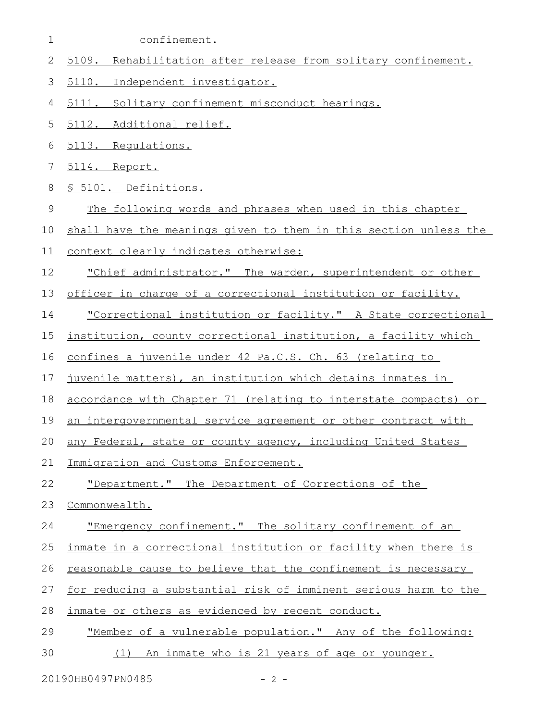- confinement. 1
- 5109. Rehabilitation after release from solitary confinement. 2
- 5110. Independent investigator. 3
- 5111. Solitary confinement misconduct hearings. 4
- 5112. Additional relief. 5
- 5113. Regulations. 6
- 5114. Report. 7
- § 5101. Definitions. 8
- The following words and phrases when used in this chapter 9
- shall have the meanings given to them in this section unless the 10

```
context clearly indicates otherwise:
11
```
- "Chief administrator." The warden, superintendent or other 12
- officer in charge of a correctional institution or facility. 13
- "Correctional institution or facility." A State correctional 14
- institution, county correctional institution, a facility which 15
- confines a juvenile under 42 Pa.C.S. Ch. 63 (relating to 16
- juvenile matters), an institution which detains inmates in 17
- accordance with Chapter 71 (relating to interstate compacts) or 18
- an intergovernmental service agreement or other contract with 19
- any Federal, state or county agency, including United States 20
- Immigration and Customs Enforcement. 21

"Department." The Department of Corrections of the 22

- Commonwealth. 23
- "Emergency confinement." The solitary confinement of an 24
- inmate in a correctional institution or facility when there is 25
- reasonable cause to believe that the confinement is necessary 26

for reducing a substantial risk of imminent serious harm to the 27

- inmate or others as evidenced by recent conduct. 28
- "Member of a vulnerable population." Any of the following: 29
- (1) An inmate who is 21 years of age or younger. 30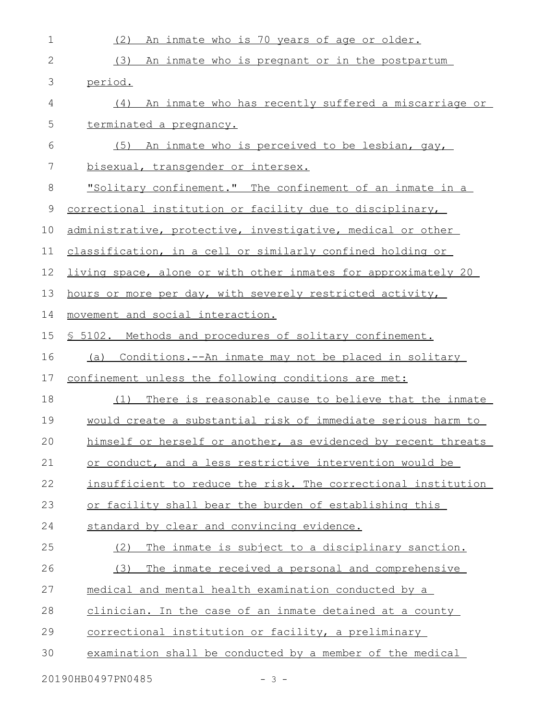| $\mathbf 1$   | (2)<br>An inmate who is 70 years of age or older.              |
|---------------|----------------------------------------------------------------|
| $\mathbf{2}$  | (3)<br>An inmate who is pregnant or in the postpartum          |
| $\mathcal{S}$ | period.                                                        |
| 4             | An inmate who has recently suffered a miscarriage or<br>(4)    |
| 5             | terminated a pregnancy.                                        |
| 6             | (5) An inmate who is perceived to be lesbian, gay,             |
| 7             | bisexual, transgender or intersex.                             |
| 8             | "Solitary confinement." The confinement of an inmate in a      |
| 9             | correctional institution or facility due to disciplinary,      |
| 10            | administrative, protective, investigative, medical or other    |
| 11            | classification, in a cell or similarly confined holding or     |
| 12            | living space, alone or with other inmates for approximately 20 |
| 13            | hours or more per day, with severely restricted activity,      |
| 14            | movement and social interaction.                               |
| 15            | \$ 5102. Methods and procedures of solitary confinement.       |
| 16            | Conditions.--An inmate may not be placed in solitary<br>(a)    |
| 17            | confinement unless the following conditions are met:           |
| 18            | There is reasonable cause to believe that the inmate<br>(1)    |
| 19            | would create a substantial risk of immediate serious harm to   |
| 20            | himself or herself or another, as evidenced by recent threats  |
| 21            | or conduct, and a less restrictive intervention would be       |
| 22            | insufficient to reduce the risk. The correctional institution  |
| 23            | or facility shall bear the burden of establishing this         |
| 24            | standard by clear and convincing evidence.                     |
| 25            | The inmate is subject to a disciplinary sanction.<br>(2)       |
| 26            | (3)<br>The inmate received a personal and comprehensive        |
| 27            | medical and mental health examination conducted by a           |
| 28            | clinician. In the case of an inmate detained at a county       |
| 29            | correctional institution or facility, a preliminary            |
| 30            | examination shall be conducted by a member of the medical      |
|               |                                                                |

20190HB0497PN0485 - 3 -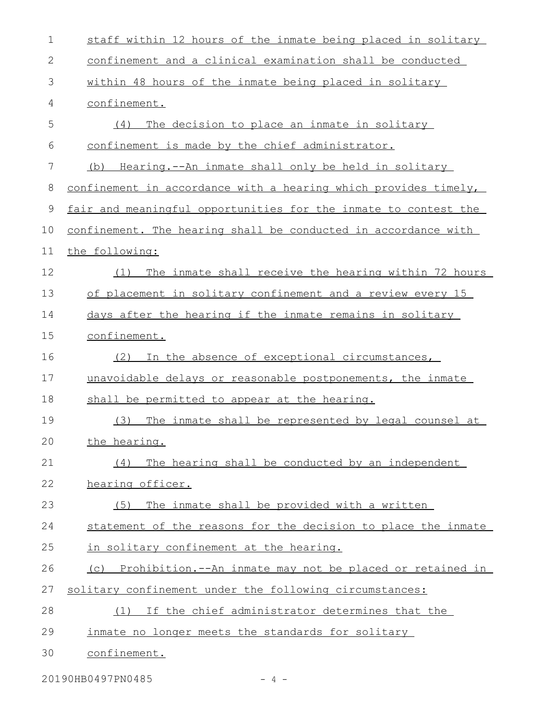| 1  | staff within 12 hours of the inmate being placed in solitary    |
|----|-----------------------------------------------------------------|
| 2  | confinement and a clinical examination shall be conducted       |
| 3  | within 48 hours of the inmate being placed in solitary          |
| 4  | confinement.                                                    |
| 5  | The decision to place an inmate in solitary<br>(4)              |
| 6  | confinement is made by the chief administrator.                 |
| 7  | Hearing.--An inmate shall only be held in solitary<br>(b)       |
| 8  | confinement in accordance with a hearing which provides timely, |
| 9  | fair and meaningful opportunities for the inmate to contest the |
| 10 | confinement. The hearing shall be conducted in accordance with  |
| 11 | the following:                                                  |
| 12 | The inmate shall receive the hearing within 72 hours<br>(1)     |
| 13 | of placement in solitary confinement and a review every 15      |
| 14 | days after the hearing if the inmate remains in solitary        |
| 15 | confinement.                                                    |
| 16 | In the absence of exceptional circumstances,<br>(2)             |
| 17 | unavoidable delays or reasonable postponements, the inmate      |
| 18 | shall be permitted to appear at the hearing.                    |
| 19 | (3)<br>The inmate shall be represented by legal counsel at      |
| 20 | the hearing.                                                    |
| 21 | The hearing shall be conducted by an independent<br>(4)         |
| 22 | hearing officer.                                                |
| 23 | The inmate shall be provided with a written<br>(5)              |
| 24 | statement of the reasons for the decision to place the inmate   |
| 25 | in solitary confinement at the hearing.                         |
| 26 | (c) Prohibition.--An inmate may not be placed or retained in    |
| 27 | solitary confinement under the following circumstances:         |
| 28 | (1) If the chief administrator determines that the              |
| 29 | inmate no longer meets the standards for solitary               |
| 30 | confinement.                                                    |

20190HB0497PN0485 - 4 -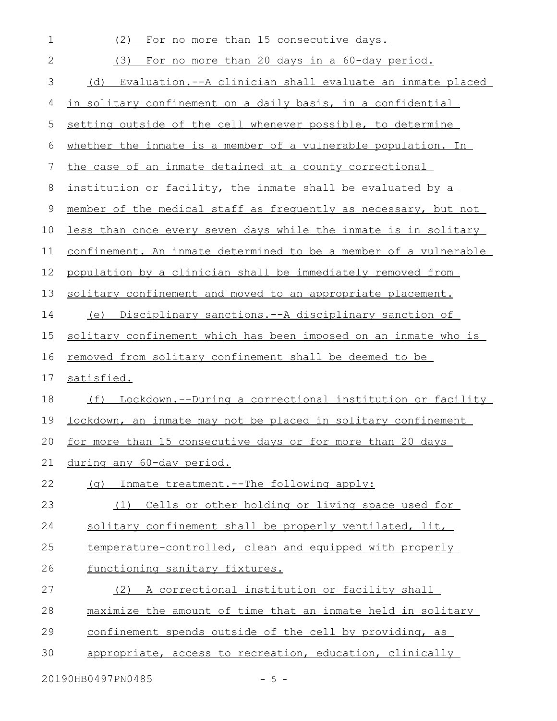| 1            | (2)<br>For no more than 15 consecutive days.                     |
|--------------|------------------------------------------------------------------|
| $\mathbf{2}$ | (3) For no more than 20 days in a 60-day period.                 |
| 3            | (d) Evaluation.--A clinician shall evaluate an inmate placed     |
| 4            | in solitary confinement on a daily basis, in a confidential      |
| 5            | setting outside of the cell whenever possible, to determine      |
| 6            | whether the inmate is a member of a vulnerable population. In    |
| 7            | the case of an inmate detained at a county correctional          |
| 8            | institution or facility, the inmate shall be evaluated by a      |
| $\mathsf 9$  | member of the medical staff as frequently as necessary, but not  |
| 10           | less than once every seven days while the inmate is in solitary  |
| 11           | confinement. An inmate determined to be a member of a vulnerable |
| 12           | population by a clinician shall be immediately removed from      |
| 13           | solitary confinement and moved to an appropriate placement.      |
| 14           | (e) Disciplinary sanctions.--A disciplinary sanction of          |
| 15           | solitary confinement which has been imposed on an inmate who is  |
| 16           | <u>removed from solitary confinement shall be deemed to be</u>   |
| 17           | satisfied.                                                       |
| 18           | (f) Lockdown.--During a correctional institution or facility     |
| 19           | lockdown, an inmate may not be placed in solitary confinement    |
| 20           | for more than 15 consecutive days or for more than 20 days       |
| 21           | during any 60-day period.                                        |
| 22           | (g) Inmate treatment.--The following apply:                      |
| 23           | (1) Cells or other holding or living space used for              |
| 24           | solitary confinement shall be properly ventilated, lit,          |
| 25           | temperature-controlled, clean and equipped with properly         |
| 26           | functioning sanitary fixtures.                                   |
| 27           | A correctional institution or facility shall<br>(2)              |
| 28           | maximize the amount of time that an inmate held in solitary      |
| 29           | confinement spends outside of the cell by providing, as          |
| 30           | appropriate, access to recreation, education, clinically         |
|              |                                                                  |

20190HB0497PN0485 - 5 -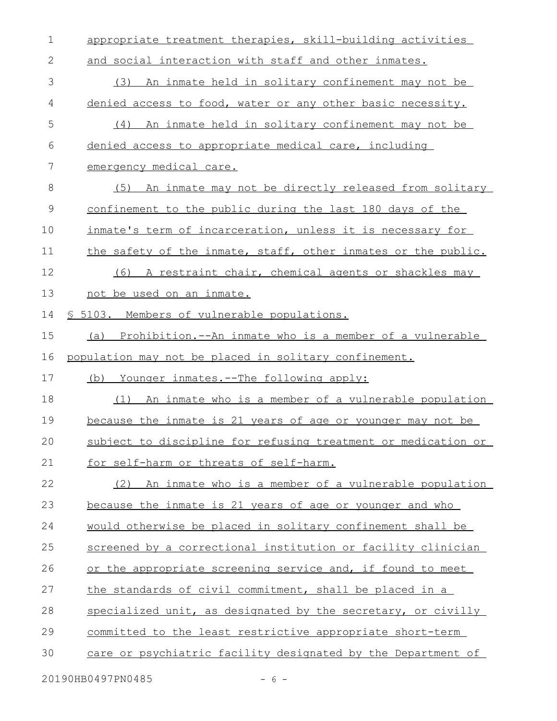appropriate treatment therapies, skill-building activities and social interaction with staff and other inmates. (3) An inmate held in solitary confinement may not be denied access to food, water or any other basic necessity. (4) An inmate held in solitary confinement may not be denied access to appropriate medical care, including emergency medical care. (5) An inmate may not be directly released from solitary confinement to the public during the last 180 days of the inmate's term of incarceration, unless it is necessary for the safety of the inmate, staff, other inmates or the public. (6) A restraint chair, chemical agents or shackles may not be used on an inmate. § 5103. Members of vulnerable populations. (a) Prohibition.--An inmate who is a member of a vulnerable population may not be placed in solitary confinement. (b) Younger inmates.--The following apply: (1) An inmate who is a member of a vulnerable population because the inmate is 21 years of age or younger may not be subject to discipline for refusing treatment or medication or for self-harm or threats of self-harm. (2) An inmate who is a member of a vulnerable population because the inmate is 21 years of age or younger and who would otherwise be placed in solitary confinement shall be screened by a correctional institution or facility clinician or the appropriate screening service and, if found to meet the standards of civil commitment, shall be placed in a specialized unit, as designated by the secretary, or civilly committed to the least restrictive appropriate short-term care or psychiatric facility designated by the Department of 1 2 3 4 5 6 7 8 9 10 11 12 13 14 15 16 17 18 19 20 21 22 23 24 25 26 27 28 29 30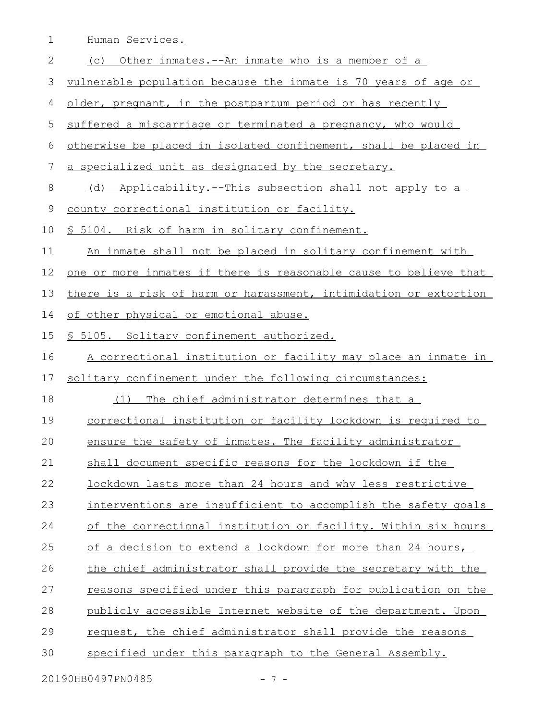1 Human Services.

| $\mathbf{2}$ | (c) Other inmates.--An inmate who is a member of a                      |
|--------------|-------------------------------------------------------------------------|
| 3            | vulnerable population because the inmate is 70 years of age or          |
| 4            | older, pregnant, in the postpartum period or has recently               |
| 5            | suffered a miscarriage or terminated a pregnancy, who would             |
| 6            | otherwise be placed in isolated confinement, shall be placed in         |
| 7            | a specialized unit as designated by the secretary.                      |
| 8            | (d) Applicability.--This subsection shall not apply to a                |
| $\mathsf 9$  | county correctional institution or facility.                            |
| 10           | § 5104. Risk of harm in solitary confinement.                           |
| 11           | An inmate shall not be placed in solitary confinement with              |
| 12           | <u>one or more inmates if there is reasonable cause to believe that</u> |
| 13           | there is a risk of harm or harassment, intimidation or extortion        |
| 14           | of other physical or emotional abuse.                                   |
| 15           | § 5105. Solitary confinement authorized.                                |
| 16           | A correctional institution or facility may place an inmate in           |
| 17           | solitary confinement under the following circumstances:                 |
| 18           | The chief administrator determines that a<br>(1)                        |
| 19           | <u>correctional institution or facility lockdown is required to</u>     |
| 20           | ensure the safety of inmates. The facility administrator                |
| 21           | shall document specific reasons for the lockdown if the                 |
| 22           | lockdown lasts more than 24 hours and why less restrictive              |
| 23           | interventions are insufficient to accomplish the safety goals           |
| 24           | of the correctional institution or facility. Within six hours           |
| 25           | of a decision to extend a lockdown for more than 24 hours,              |
| 26           | the chief administrator shall provide the secretary with the            |
| 27           | reasons specified under this paragraph for publication on the           |
| 28           | publicly accessible Internet website of the department. Upon            |
| 29           | request, the chief administrator shall provide the reasons              |
| 30           | specified under this paragraph to the General Assembly.                 |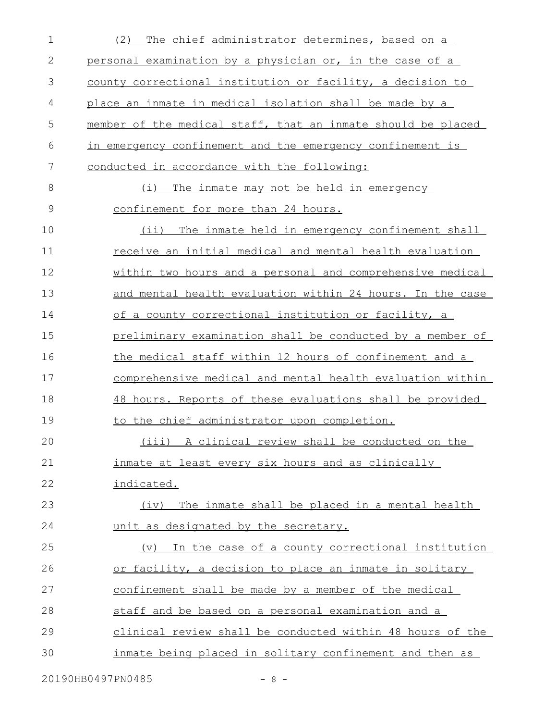| $\mathbf 1$   | The chief administrator determines, based on a<br>(2)        |
|---------------|--------------------------------------------------------------|
| $\mathbf 2$   | personal examination by a physician or, in the case of a     |
| 3             | county correctional institution or facility, a decision to   |
| 4             | place an inmate in medical isolation shall be made by a      |
| 5             | member of the medical staff, that an inmate should be placed |
| 6             | in emergency confinement and the emergency confinement is    |
| 7             | conducted in accordance with the following:                  |
| 8             | (i)<br>The inmate may not be held in emergency               |
| $\mathcal{G}$ | confinement for more than 24 hours.                          |
| 10            | (ii) The inmate held in emergency confinement shall          |
| 11            | receive an initial medical and mental health evaluation      |
| 12            | within two hours and a personal and comprehensive medical    |
| 13            | and mental health evaluation within 24 hours. In the case    |
| 14            | of a county correctional institution or facility, a          |
| 15            | preliminary examination shall be conducted by a member of    |
| 16            | the medical staff within 12 hours of confinement and a       |
| 17            | comprehensive medical and mental health evaluation within    |
| 18            | 48 hours. Reports of these evaluations shall be provided     |
| 19            | to the chief administrator upon completion.                  |
| 20            | A clinical review shall be conducted on the<br>(iii)         |
| 21            | inmate at least every six hours and as clinically            |
| 22            | indicated.                                                   |
| 23            | The inmate shall be placed in a mental health<br>(iv)        |
| 24            | unit as designated by the secretary.                         |
| 25            | (v) In the case of a county correctional institution         |
| 26            | or facility, a decision to place an inmate in solitary       |
| 27            | confinement shall be made by a member of the medical         |
| 28            | staff and be based on a personal examination and a           |
| 29            | clinical review shall be conducted within 48 hours of the    |
| 30            | inmate being placed in solitary confinement and then as      |
|               |                                                              |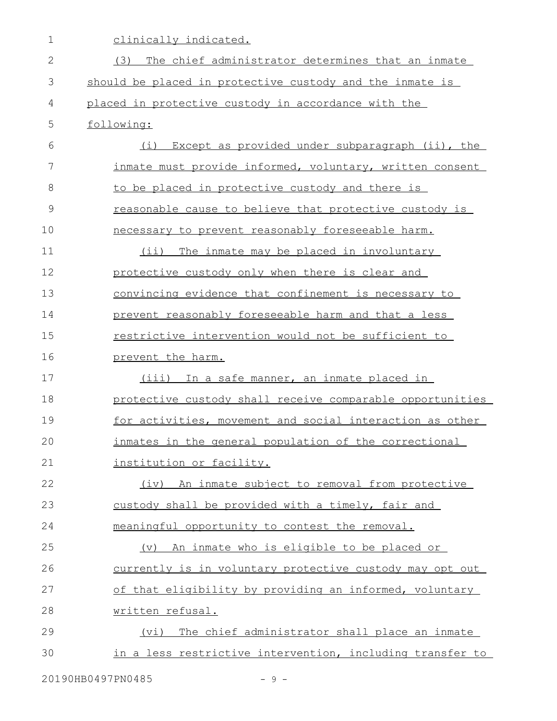| $\mathbf 1$  | clinically indicated.                                           |
|--------------|-----------------------------------------------------------------|
| $\mathbf{2}$ | The chief administrator determines that an inmate<br>(3)        |
| 3            | should be placed in protective custody and the inmate is        |
| 4            | placed in protective custody in accordance with the             |
| 5            | following:                                                      |
| 6            | Except as provided under subparagraph (ii), the<br>(i)          |
| 7            | inmate must provide informed, voluntary, written consent        |
| 8            | to be placed in protective custody and there is                 |
| 9            | reasonable cause to believe that protective custody is          |
| 10           | necessary to prevent reasonably foreseeable harm.               |
| 11           | $(i$ i)<br>The inmate may be placed in involuntary              |
| 12           | protective custody only when there is clear and                 |
| 13           | <u>convincing evidence that confinement is necessary to</u>     |
| 14           | prevent reasonably foreseeable harm and that a less             |
| 15           | restrictive intervention would not be sufficient to             |
| 16           | prevent the harm.                                               |
| 17           | (iii) In a safe manner, an inmate placed in                     |
| 18           | protective custody shall receive comparable opportunities       |
| 19           | for activities, movement and social interaction as other        |
| 20           | inmates in the general population of the correctional           |
| 21           | institution or facility.                                        |
| 22           | (iv) An inmate subject to removal from protective               |
| 23           | custody shall be provided with a timely, fair and               |
| 24           | meaningful opportunity to contest the removal.                  |
| 25           | (v) An inmate who is eligible to be placed or                   |
| 26           | <u>currently is in voluntary protective custody may opt out</u> |
| 27           | of that eligibility by providing an informed, voluntary         |
| 28           | written refusal.                                                |
| 29           | (vi) The chief administrator shall place an inmate              |
|              |                                                                 |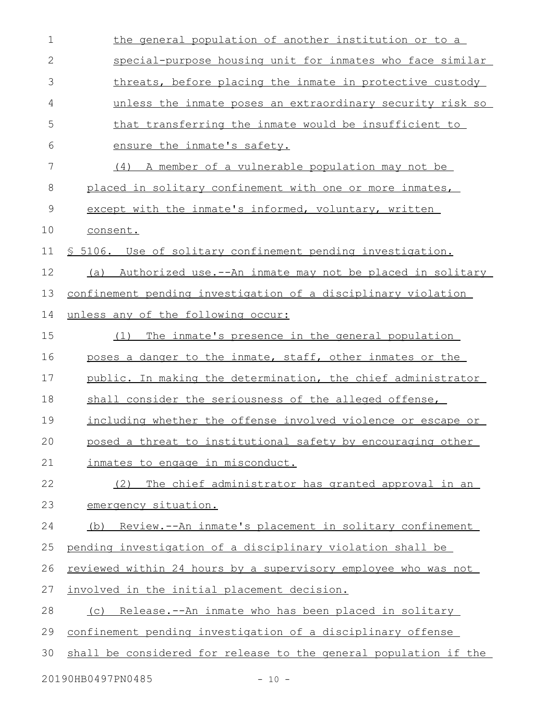| $\mathbf 1$  | the general population of another institution or to a                |
|--------------|----------------------------------------------------------------------|
| $\mathbf{2}$ | special-purpose housing unit for inmates who face similar            |
| 3            | threats, before placing the inmate in protective custody             |
| 4            | unless the inmate poses an extraordinary security risk so            |
| 5            | that transferring the inmate would be insufficient to                |
| 6            | ensure the inmate's safety.                                          |
| 7            | (4) A member of a vulnerable population may not be                   |
| 8            | placed in solitary confinement with one or more inmates,             |
| 9            | except with the inmate's informed, voluntary, written                |
| 10           | consent.                                                             |
| 11           | § 5106. Use of solitary confinement pending investigation.           |
| 12           | (a) Authorized use.--An inmate may not be placed in solitary         |
| 13           | confinement pending investigation of a disciplinary violation        |
| 14           | unless any of the following occur:                                   |
| 15           | The inmate's presence in the general population<br>(1)               |
| 16           | poses a danger to the inmate, staff, other inmates or the            |
| 17           | public. In making the determination, the chief administrator         |
| 18           | shall consider the seriousness of the alleged offense,               |
| 19           | including whether the offense involved violence or escape or         |
| 20           | posed a threat to institutional safety by encouraging other          |
| 21           | inmates to engage in misconduct.                                     |
| 22           | The chief administrator has granted approval in an<br>(2)            |
| 23           | emergency situation.                                                 |
| 24           | <u>Review.--An inmate's placement in solitary confinement</u><br>(b) |
| 25           | pending investigation of a disciplinary violation shall be           |
| 26           | reviewed within 24 hours by a supervisory employee who was not       |
| 27           | involved in the initial placement decision.                          |
| 28           | (c) Release.--An inmate who has been placed in solitary              |
| 29           | confinement pending investigation of a disciplinary offense          |
| 30           | shall be considered for release to the general population if the     |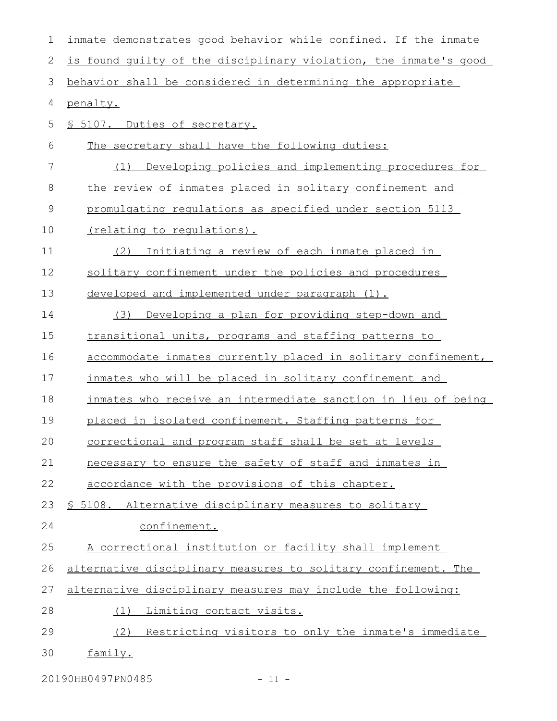| 1           | inmate demonstrates good behavior while confined. If the inmate  |
|-------------|------------------------------------------------------------------|
| 2           | is found quilty of the disciplinary violation, the inmate's good |
| 3           | behavior shall be considered in determining the appropriate      |
| 4           | penalty.                                                         |
| 5           | § 5107. Duties of secretary.                                     |
| 6           | The secretary shall have the following duties:                   |
| 7           | Developing policies and implementing procedures for<br>(1)       |
| 8           | the review of inmates placed in solitary confinement and         |
| $\mathsf 9$ | promulgating regulations as specified under section 5113         |
| 10          | <u>(relating to regulations).</u>                                |
| 11          | Initiating a review of each inmate placed in<br>(2)              |
| 12          | solitary confinement under the policies and procedures           |
| 13          | developed and implemented under paragraph (1).                   |
| 14          | Developing a plan for providing step-down and<br>(3)             |
| 15          | transitional units, programs and staffing patterns to            |
| 16          | accommodate inmates currently placed in solitary confinement,    |
| 17          | inmates who will be placed in solitary confinement and           |
| 18          | inmates who receive an intermediate sanction in lieu of being    |
| 19          | placed in isolated confinement. Staffing patterns for            |
| 20          | correctional and program staff shall be set at levels            |
| 21          | necessary to ensure the safety of staff and inmates in           |
| 22          | accordance with the provisions of this chapter.                  |
| 23          | \$ 5108. Alternative disciplinary measures to solitary           |
| 24          | confinement.                                                     |
| 25          | A correctional institution or facility shall implement           |
| 26          | alternative disciplinary measures to solitary confinement. The   |
| 27          | alternative disciplinary measures may include the following:     |
| 28          | Limiting contact visits.<br>(1)                                  |
| 29          | (2)<br>Restricting visitors to only the inmate's immediate       |
| 30          | family.                                                          |

20190HB0497PN0485 - 11 -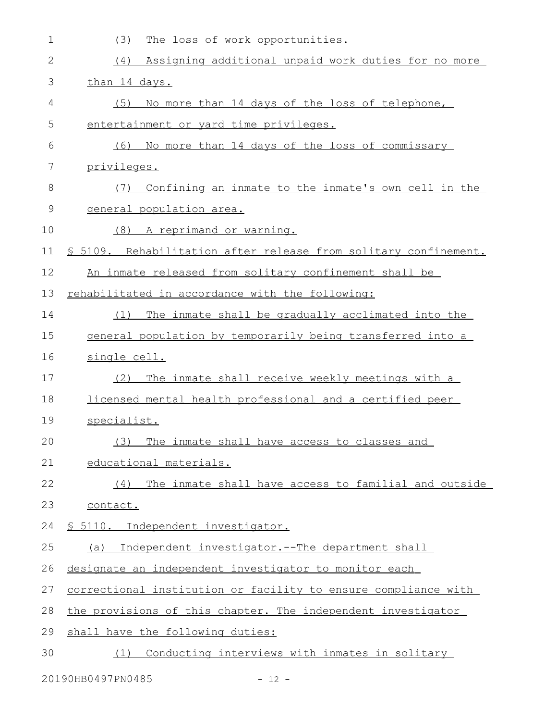| $\mathbf 1$ | (3)<br>The loss of work opportunities.                           |
|-------------|------------------------------------------------------------------|
| 2           | Assigning additional unpaid work duties for no more<br>(4)       |
| 3           | than 14 days.                                                    |
| 4           | (5)<br>No more than 14 days of the loss of telephone,            |
| 5           | entertainment or yard time privileges.                           |
| 6           | No more than 14 days of the loss of commissary<br>(6)            |
| 7           | privileges.                                                      |
| 8           | Confining an inmate to the inmate's own cell in the<br>(7)       |
| 9           | general population area.                                         |
| 10          | (8) A reprimand or warning.                                      |
| 11          | \$ 5109. Rehabilitation after release from solitary confinement. |
| 12          | An inmate released from solitary confinement shall be            |
| 13          | rehabilitated in accordance with the following:                  |
| 14          | The inmate shall be gradually acclimated into the<br>(1)         |
| 15          | general population by temporarily being transferred into a       |
| 16          | single cell.                                                     |
| 17          | The inmate shall receive weekly meetings with a<br>(2)           |
| 18          | licensed mental health professional and a certified peer         |
| 19          | specialist.                                                      |
| 20          | (3) The inmate shall have access to classes and                  |
| 21          | educational materials.                                           |
| 22          | (4) The inmate shall have access to familial and outside         |
| 23          | contact.                                                         |
| 24          | § 5110. Independent investigator.                                |
| 25          | (a) Independent investigator.--The department shall              |
| 26          | designate an independent investigator to monitor each            |
| 27          | correctional institution or facility to ensure compliance with   |
| 28          | the provisions of this chapter. The independent investigator     |
| 29          | shall have the following duties:                                 |
| 30          | (1) Conducting interviews with inmates in solitary               |
|             |                                                                  |

20190HB0497PN0485 - 12 -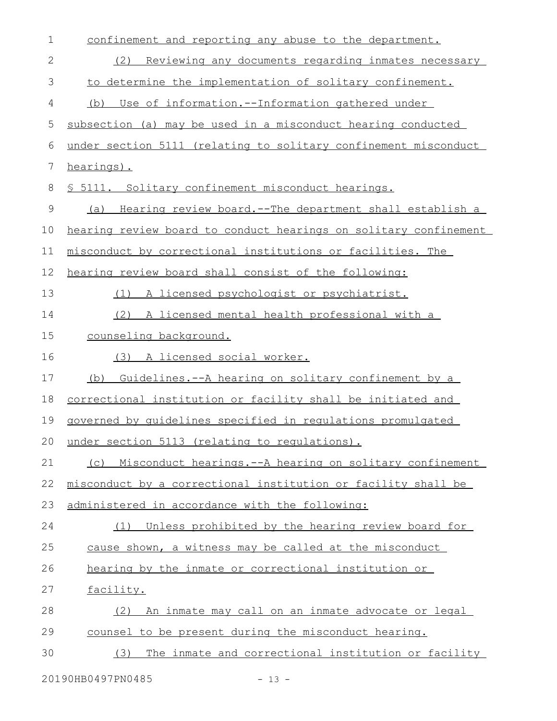| $\mathbf 1$  | confinement and reporting any abuse to the department.           |
|--------------|------------------------------------------------------------------|
| $\mathbf{2}$ | Reviewing any documents regarding inmates necessary<br>(2)       |
| 3            | to determine the implementation of solitary confinement.         |
| 4            | (b) Use of information.--Information gathered under              |
| 5            | subsection (a) may be used in a misconduct hearing conducted     |
| 6            | under section 5111 (relating to solitary confinement misconduct  |
| 7            | hearings).                                                       |
| 8            | § 5111. Solitary confinement misconduct hearings.                |
| $\mathsf 9$  | (a) Hearing review board.--The department shall establish a      |
| 10           | hearing review board to conduct hearings on solitary confinement |
| 11           | misconduct by correctional institutions or facilities. The       |
| 12           | hearing review board shall consist of the following:             |
| 13           | A licensed psychologist or psychiatrist.<br>(1)                  |
| 14           | (2) A licensed mental health professional with a                 |
| 15           | counseling background.                                           |
| 16           | (3) A licensed social worker.                                    |
| 17           | Guidelines. -- A hearing on solitary confinement by a<br>(b)     |
|              |                                                                  |
| 18           | correctional institution or facility shall be initiated and      |
| 19           | governed by quidelines specified in requlations promulgated      |
|              | under section 5113 (relating to regulations).                    |
| 20<br>21     | Misconduct hearings. -- A hearing on solitary confinement<br>(C) |
| 22           | misconduct by a correctional institution or facility shall be    |
| 23           | administered in accordance with the following:                   |
| 24           | (1) Unless prohibited by the hearing review board for            |
| 25           | cause shown, a witness may be called at the misconduct           |
| 26           | hearing by the inmate or correctional institution or             |
| 27           | facility.                                                        |
| 28           | An inmate may call on an inmate advocate or legal<br>(2)         |
| 29           | counsel to be present during the misconduct hearing.             |

20190HB0497PN0485 - 13 -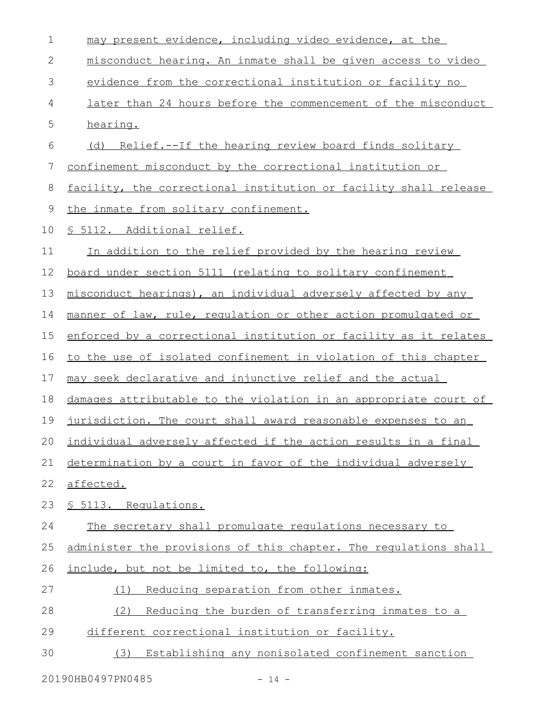| $\mathbf 1$ | may present evidence, including video evidence, at the            |
|-------------|-------------------------------------------------------------------|
| 2           | misconduct hearing. An inmate shall be given access to video      |
| 3           | evidence from the correctional institution or facility no         |
| 4           | later than 24 hours before the commencement of the misconduct     |
| 5           | hearing.                                                          |
| 6           | (d) Relief.--If the hearing review board finds solitary           |
| 7           | confinement misconduct by the correctional institution or         |
| 8           | facility, the correctional institution or facility shall release  |
| 9           | the inmate from solitary confinement.                             |
| 10          | § 5112. Additional relief.                                        |
| 11          | In addition to the relief provided by the hearing review          |
| 12          | board under section 5111 (relating to solitary confinement        |
| 13          | misconduct hearings), an individual adversely affected by any     |
| 14          | manner of law, rule, regulation or other action promulgated or    |
| 15          | enforced by a correctional institution or facility as it relates  |
| 16          | to the use of isolated confinement in violation of this chapter   |
| 17          | may seek declarative and injunctive relief and the actual         |
| 18          | damages attributable to the violation in an appropriate court of  |
| 19          | jurisdiction. The court shall award reasonable expenses to an     |
|             | 20 individual adversely affected if the action results in a final |
| 21          | determination by a court in favor of the individual adversely     |
| 22          | affected.                                                         |
| 23          | § 5113. Requlations.                                              |
| 24          | The secretary shall promulgate regulations necessary to           |
| 25          | administer the provisions of this chapter. The requlations shall  |
| 26          | include, but not be limited to, the following:                    |
| 27          | Reducing separation from other inmates.<br>(1)                    |
| 28          | (2)<br>Reducing the burden of transferring inmates to a           |
| 29          | different correctional institution or facility.                   |
| 30          | Establishing any nonisolated confinement sanction<br>(3)          |

20190HB0497PN0485 - 14 -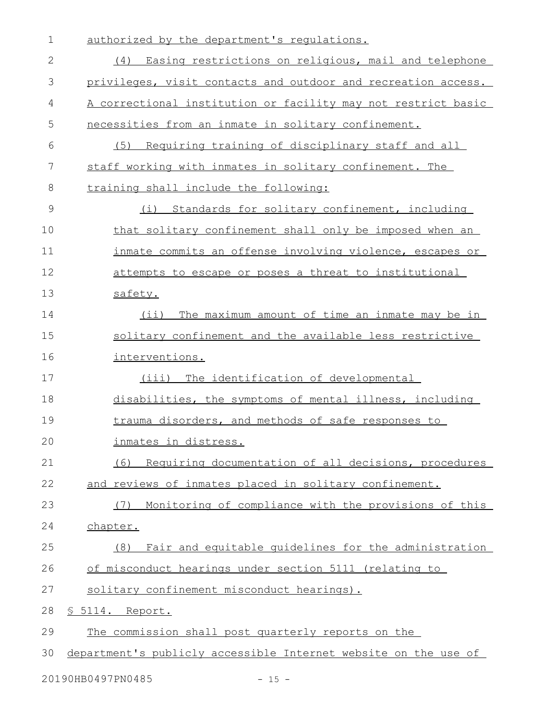| 1             | authorized by the department's requlations.                     |
|---------------|-----------------------------------------------------------------|
| $\mathbf{2}$  | (4) Easing restrictions on religious, mail and telephone        |
| 3             | privileges, visit contacts and outdoor and recreation access.   |
| 4             | A correctional institution or facility may not restrict basic   |
| 5             | necessities from an inmate in solitary confinement.             |
| 6             | Requiring training of disciplinary staff and all<br>(5)         |
| 7             | staff working with inmates in solitary confinement. The         |
| 8             | training shall include the following:                           |
| $\mathcal{G}$ | Standards for solitary confinement, including<br>(i)            |
| 10            | that solitary confinement shall only be imposed when an         |
| 11            | inmate commits an offense involving violence, escapes or        |
| 12            | attempts to escape or poses a threat to institutional           |
| 13            | safety.                                                         |
| 14            | $(i$ i)<br>The maximum amount of time an inmate may be in       |
| 15            | solitary confinement and the available less restrictive         |
| 16            | interventions.                                                  |
| 17            | The identification of developmental<br>(iii)                    |
| 18            | disabilities, the symptoms of mental illness, including         |
| 19            | trauma disorders, and methods of safe responses to              |
| 20            | inmates in distress.                                            |
| 21            | (6)<br>Requiring documentation of all decisions, procedures     |
| 22            | and reviews of inmates placed in solitary confinement.          |
| 23            | Monitoring of compliance with the provisions of this<br>(7)     |
| 24            | chapter.                                                        |
| 25            | Fair and equitable quidelines for the administration<br>(8)     |
| 26            | of misconduct hearings under section 5111 (relating to          |
| 27            | solitary confinement misconduct hearings).                      |
| 28            | § 5114. Report.                                                 |
| 29            | The commission shall post quarterly reports on the              |
| 30            | department's publicly accessible Internet website on the use of |
|               | 20190HB0497PN0485<br>$-15 -$                                    |